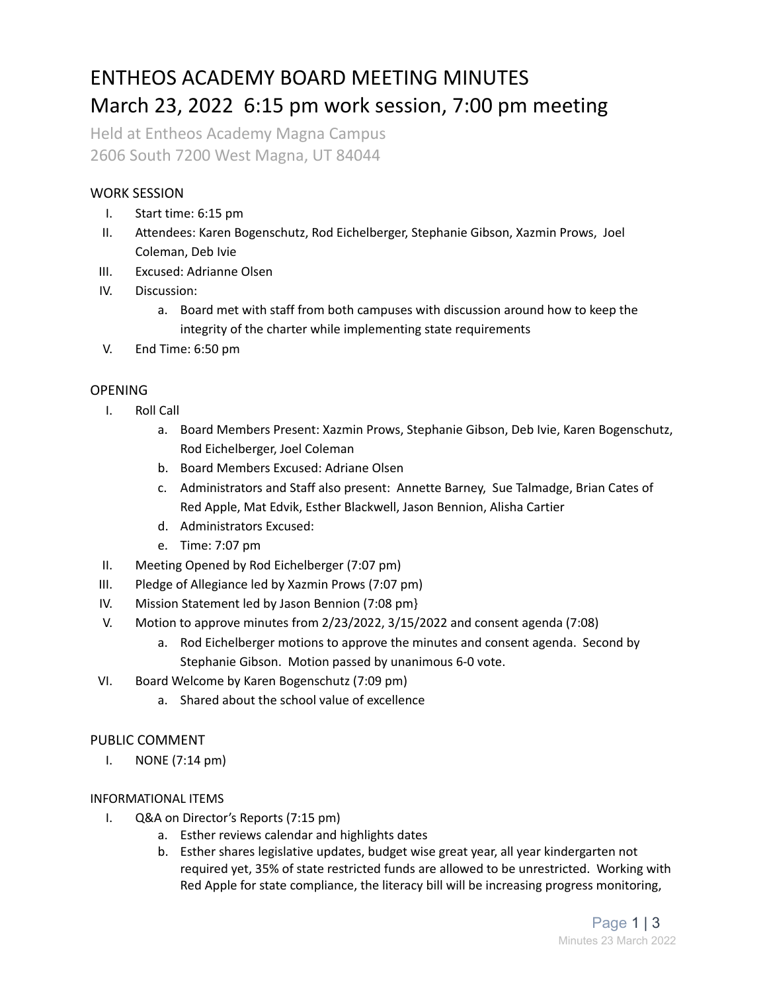### ENTHEOS ACADEMY BOARD MEETING MINUTES March 23, 2022 6:15 pm work session, 7:00 pm meeting

Held at Entheos Academy Magna Campus 2606 South 7200 West Magna, UT 84044

#### WORK SESSION

- I. Start time: 6:15 pm
- II. Attendees: Karen Bogenschutz, Rod Eichelberger, Stephanie Gibson, Xazmin Prows, Joel Coleman, Deb Ivie
- III. Excused: Adrianne Olsen
- IV. Discussion:
	- a. Board met with staff from both campuses with discussion around how to keep the integrity of the charter while implementing state requirements
- V. End Time: 6:50 pm

#### **OPENING**

- I. Roll Call
	- a. Board Members Present: Xazmin Prows, Stephanie Gibson, Deb Ivie, Karen Bogenschutz, Rod Eichelberger, Joel Coleman
	- b. Board Members Excused: Adriane Olsen
	- c. Administrators and Staff also present: Annette Barney, Sue Talmadge, Brian Cates of Red Apple, Mat Edvik, Esther Blackwell, Jason Bennion, Alisha Cartier
	- d. Administrators Excused:
	- e. Time: 7:07 pm
- II. Meeting Opened by Rod Eichelberger (7:07 pm)
- III. Pledge of Allegiance led by Xazmin Prows (7:07 pm)
- IV. Mission Statement led by Jason Bennion (7:08 pm}
- V. Motion to approve minutes from 2/23/2022, 3/15/2022 and consent agenda (7:08)
	- a. Rod Eichelberger motions to approve the minutes and consent agenda. Second by Stephanie Gibson. Motion passed by unanimous 6-0 vote.
- VI. Board Welcome by Karen Bogenschutz (7:09 pm)
	- a. Shared about the school value of excellence

#### PUBLIC COMMENT

I. NONE (7:14 pm)

#### INFORMATIONAL ITEMS

- I. Q&A on Director's Reports (7:15 pm)
	- a. Esther reviews calendar and highlights dates
	- b. Esther shares legislative updates, budget wise great year, all year kindergarten not required yet, 35% of state restricted funds are allowed to be unrestricted. Working with Red Apple for state compliance, the literacy bill will be increasing progress monitoring,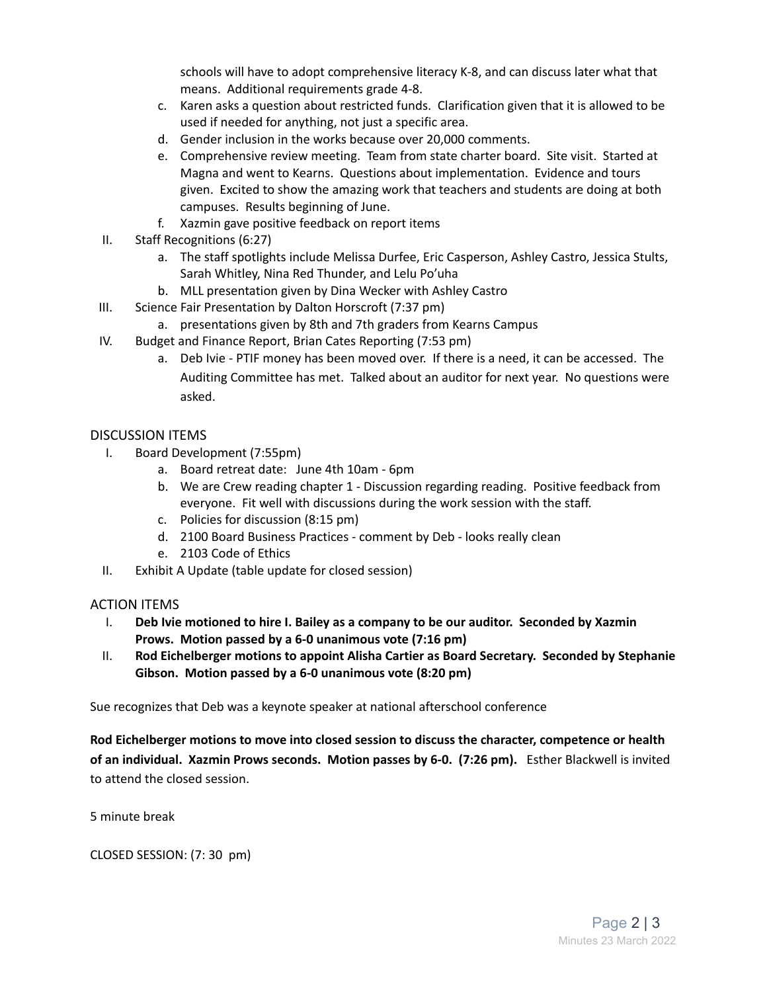schools will have to adopt comprehensive literacy K-8, and can discuss later what that means. Additional requirements grade 4-8.

- c. Karen asks a question about restricted funds. Clarification given that it is allowed to be used if needed for anything, not just a specific area.
- d. Gender inclusion in the works because over 20,000 comments.
- e. Comprehensive review meeting. Team from state charter board. Site visit. Started at Magna and went to Kearns. Questions about implementation. Evidence and tours given. Excited to show the amazing work that teachers and students are doing at both campuses. Results beginning of June.
- f. Xazmin gave positive feedback on report items
- II. Staff Recognitions (6:27)
	- a. The staff spotlights include Melissa Durfee, Eric Casperson, Ashley Castro, Jessica Stults, Sarah Whitley, Nina Red Thunder, and Lelu Po'uha
	- b. MLL presentation given by Dina Wecker with Ashley Castro
- III. Science Fair Presentation by Dalton Horscroft (7:37 pm)
	- a. presentations given by 8th and 7th graders from Kearns Campus
- IV. Budget and Finance Report, Brian Cates Reporting (7:53 pm)
	- a. Deb Ivie PTIF money has been moved over. If there is a need, it can be accessed. The Auditing Committee has met. Talked about an auditor for next year. No questions were asked.

#### DISCUSSION ITEMS

- I. Board Development (7:55pm)
	- a. Board retreat date: June 4th 10am 6pm
	- b. We are Crew reading chapter 1 Discussion regarding reading. Positive feedback from everyone. Fit well with discussions during the work session with the staff.
	- c. Policies for discussion (8:15 pm)
	- d. 2100 Board Business Practices comment by Deb looks really clean
	- e. 2103 Code of Ethics
- II. Exhibit A Update (table update for closed session)

#### ACTION ITEMS

- I. **Deb Ivie motioned to hire I. Bailey as a company to be our auditor. Seconded by Xazmin Prows. Motion passed by a 6-0 unanimous vote (7:16 pm)**
- II. **Rod Eichelberger motions to appoint Alisha Cartier as Board Secretary. Seconded by Stephanie Gibson. Motion passed by a 6-0 unanimous vote (8:20 pm)**

Sue recognizes that Deb was a keynote speaker at national afterschool conference

**Rod Eichelberger motions to move into closed session to discuss the character, competence or health of an individual. Xazmin Prows seconds. Motion passes by 6-0. (7:26 pm).** Esther Blackwell is invited to attend the closed session.

5 minute break

CLOSED SESSION: (7: 30 pm)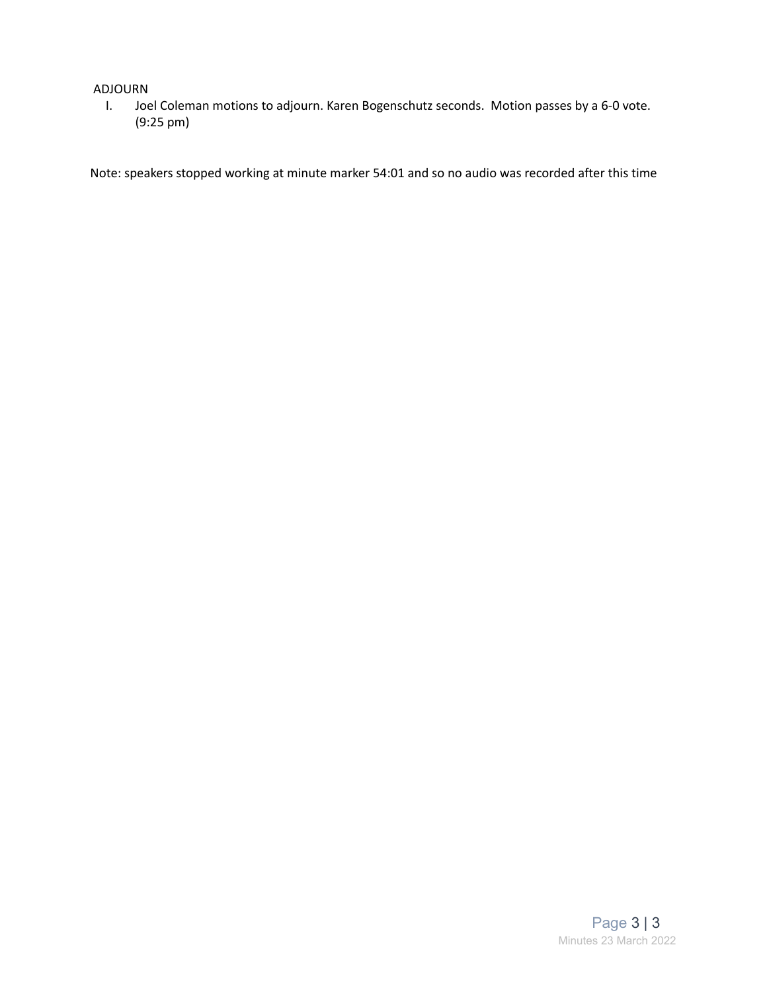#### ADJOURN

I. Joel Coleman motions to adjourn. Karen Bogenschutz seconds. Motion passes by a 6-0 vote. (9:25 pm)

Note: speakers stopped working at minute marker 54:01 and so no audio was recorded after this time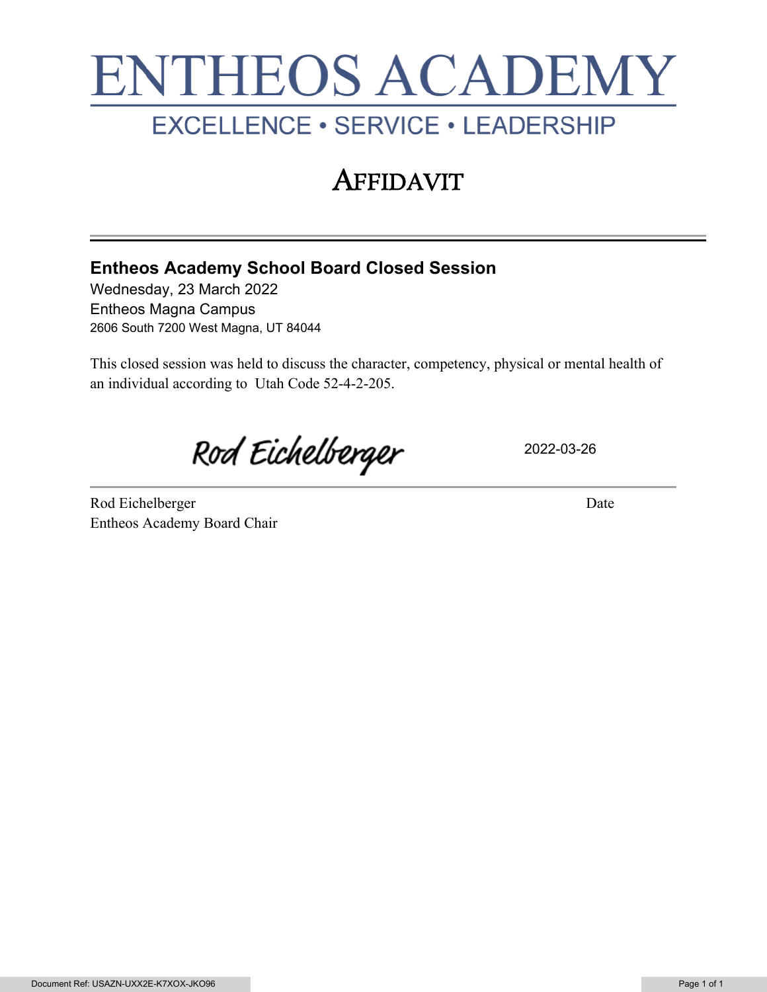# **ENTHEOS ACADEMY** EXCELLENCE · SERVICE · LEADERSHIP

## **AFFIDAVIT**

### **Entheos Academy School Board Closed Session**

Wednesday, 23 March 2022 Entheos Magna Campus 2606 South 7200 West Magna, UT 84044

This closed session was held to discuss the character, competency, physical or mental health of an individual according to Utah Code 52-4-2-205.

Rod Eichelberger

2022-03-26

Rod Eichelberger Date Entheos Academy Board Chair